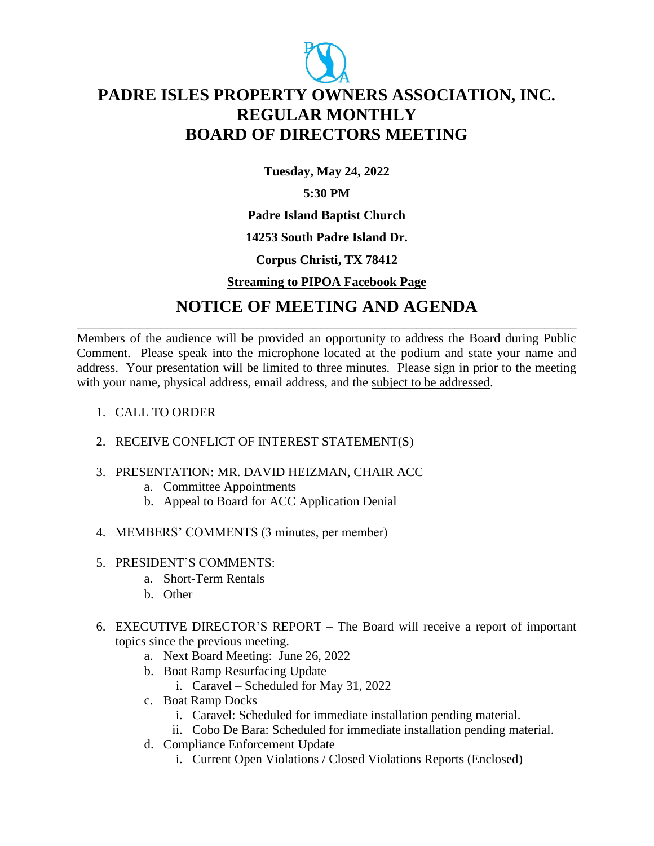

# **PADRE ISLES PROPERTY OWNERS ASSOCIATION, INC. REGULAR MONTHLY BOARD OF DIRECTORS MEETING**

**Tuesday, May 24, 2022**

### **5:30 PM**

**Padre Island Baptist Church**

#### **14253 South Padre Island Dr.**

#### **Corpus Christi, TX 78412**

#### **Streaming to PIPOA Facebook Page**

## **NOTICE OF MEETING AND AGENDA** \_\_\_\_\_\_\_\_\_\_\_\_\_\_\_\_\_\_\_\_\_\_\_\_\_\_\_\_\_\_\_\_\_\_\_\_\_\_\_\_\_\_\_\_\_\_\_\_\_\_\_\_\_\_\_\_\_\_\_\_\_\_\_\_\_\_\_\_\_\_\_\_\_\_\_\_\_\_

Members of the audience will be provided an opportunity to address the Board during Public Comment. Please speak into the microphone located at the podium and state your name and address. Your presentation will be limited to three minutes. Please sign in prior to the meeting with your name, physical address, email address, and the subject to be addressed.

- 1. CALL TO ORDER
- 2. RECEIVE CONFLICT OF INTEREST STATEMENT(S)
- 3. PRESENTATION: MR. DAVID HEIZMAN, CHAIR ACC
	- a. Committee Appointments
	- b. Appeal to Board for ACC Application Denial
- 4. MEMBERS' COMMENTS (3 minutes, per member)
- 5. PRESIDENT'S COMMENTS:
	- a. Short-Term Rentals
	- b. Other
- 6. EXECUTIVE DIRECTOR'S REPORT The Board will receive a report of important topics since the previous meeting.
	- a. Next Board Meeting: June 26, 2022
	- b. Boat Ramp Resurfacing Update
		- i. Caravel Scheduled for May 31, 2022
	- c. Boat Ramp Docks
		- i. Caravel: Scheduled for immediate installation pending material.
		- ii. Cobo De Bara: Scheduled for immediate installation pending material.
	- d. Compliance Enforcement Update
		- i. Current Open Violations / Closed Violations Reports (Enclosed)